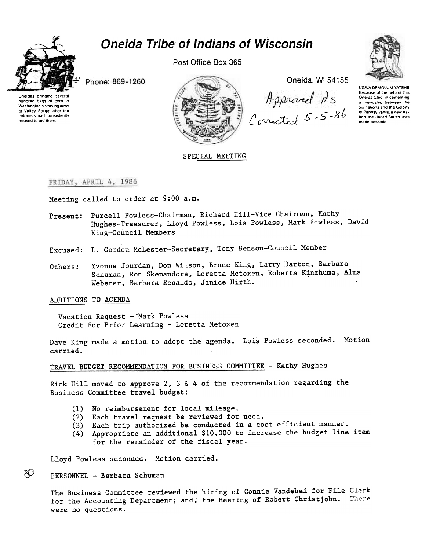

# **Oneida Tribe of Indians of Wisconsin**

Post Office Box 365



Phone: 869-1260

Oneidas bringing several hundred bags of corn to Washington's starving army at Valley Forge, after the colonists had consistently refused to aid them.



Oneida, WI 54155

Approved As<br>Corrected 5-5-86

**UGWA DEMOLUM YATEHE** Because of the help of this Oneida Chief in cementing a friendship between the six nations and the Colony of Pennsylvania, a new nation, the United States, was made possible

## SPECIAL MEETING

#### FRIDAY, APRIL 4, 1986

Meeting called to order at 9:00 a.m.

- Present: Purcell Powless-Chairman, Richard Hill-Vice Chairman, Kathy Hughes-Treasurer, Lloyd Powless, Lois Powless, Mark Powless, David King-Council Members
- Excused: L. Gordon McLester-Secretary, Tony Benson-Council Member
- Yvonne Jourdan, Don Wilson, Bruce King, Larry Barton, Barbara Others: Schuman, Ron Skenandore, Loretta Metoxen, Roberta Kinzhuma, Alma Webster, Barbara Renalds, Janice Hirth.

### ADDITIONS TO AGENDA

Vacation Request - Mark Powless Credit For Prior Learning - Loretta Metoxen

Dave King made a motion to adopt the agenda. Lois Powless seconded. Motion carried.

#### TRAVEL BUDGET RECOMMENDATION FOR BUSINESS COMMITTEE - Kathy Hughes

Rick Hill moved to approve 2, 3 & 4 of the recommendation regarding the Business Committee travel budget:

- (1) No reimbursement for local mileage.
- (2) Each travel request be reviewed for need.
- (3) Each trip authorized be conducted in a cost efficient manner.
- (4) Appropriate an additional \$10,000 to increase the budget line item for the remainder of the fiscal year.

Lloyd Powless seconded. Motion carried.

#### PERSONNEL - Barbara Schuman

8O

The Business Committee reviewed the hiring of Connie Vandehei for File Clerk for the Accounting Department; and, the Hearing of Robert Christjohn. There were no questions.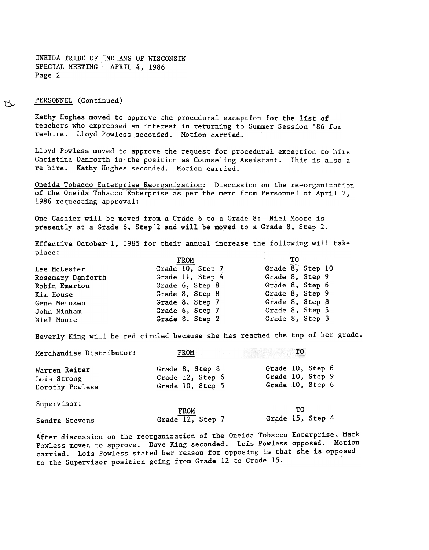PERSONNEL (Continued)

Kathy Hughes moved to approve the procedural exception for the list of teachers who expressed an interest in returning to Summer Session '86 for re-hire. Lloyd Powless seconded. Motion carried.

Lloyd Powless moved to approve the request for procedural exception to hire Christina Danforth in the position as Counseling Assistant. This is also a re-hire. Kathy Hughes seconded. Motion carried.

Oneida Tobacco Enterprise Reorganization: Discussion on the re-organization of. the Oneida Tobacco Enterprise as per the memo from Personnel of April 2, 1986 requesting approval:

One Cashier will be moved from a Grade 6 to a Grade 8: Niel Moore is presently at a Grade 6, Step"2 and will be moved to a Grade 8, Step 2.

Effective October-I, 1985 for their annual increase the following will take place:

|                   | FROM             | тο               |
|-------------------|------------------|------------------|
| Lee McLester      | Grade 10, Step 7 | Grade 8, Step 10 |
| Rosemary Danforth | Grade 11, Step 4 | Grade 8, Step 9  |
| Robin Emerton     | Grade 6, Step 8  | Grade 8, Step 6  |
| Kim House         | Grade 8, Step 8  | Grade 8, Step 9  |
| Gene Metoxen      | Grade 8, Step 7  | Grade 8, Step 8  |
| John Ninham       | Grade 6, Step 7  | Grade 8, Step 5  |
| Niel Moore        | Grade 8, Step 2  | Grade 8, Step 3  |

Beverly King will be red circled because she has reached the top of her grade.

| Merchandise Distributor:                        | FROM                                                    | тo                                                       |
|-------------------------------------------------|---------------------------------------------------------|----------------------------------------------------------|
| Warren Reiter<br>Lois Strong<br>Dorothy Powless | Grade 8, Step 8<br>Grade 12, Step 6<br>Grade 10, Step 5 | Grade 10, Step 6<br>Grade 10, Step 9<br>Grade 10, Step 6 |
| Supervisor:                                     | FROM                                                    | TО                                                       |
| Sandra Stevens                                  | Grade $\overline{12}$ , Step 7                          | Grade $15$ , Step 4                                      |

After discussion on the reorganization of the Oneida Tobacco Enterprise, Mark Powless moved to approve. Dave King seconded. Lois Powless opposed. Motion carried. Lois Powless stated her reason for opposing is that she is opposed to the Supervisor position going from Grade 12 .to Grade 15.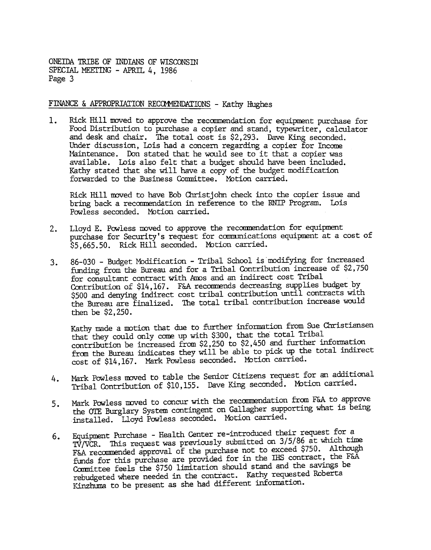## FINANCE & APPROPRIATION RECOMMENDATIONS - Kathy Hughes

Rick Hill moved to approve the recommendation for equipment purchase for 1. Food Distribution to purchase a copier and stand, typewriter, calculator and desk and dhair. The total cost is \$2,293. Dave King seconded. Under discussion, Lois had a concern regarding a copier for Income Maintenance. Don stated that he would see to it that a copier was available. Lois also felt that a budget should have been included. Kathy stated that she will have a copy of the budget modification forwarded to the Business Committee. Motion carried.

Rick Hill moved to have Bob Christjohn check into the copier issue and bring back a recommendation in reference to the RNIP Program. Lois Powless seconded. Motion carried.

- purchase for Security's request for cannmications equipuent at a cost of \$5,665.50. Rick Hill seconded. Motion carried.
- 2. Lloyd E. Pawless moved to approve the recommendation for equipment at  $\approx$  5,665.50. Rick Hill seconded. Motion carried. The andifying for increase of form individual in Triblal School is modifying for increase of form 3. 86-030 - Budget Modification - Tribal School is modifying for increase for consultant contract with Amos and an indirect cost Tribal Contribution increase of  $32.7$  for consultant contract with Amos and an indirect cos funding from the Bureau and for a Tribal Contribution increase of \$2,750 for consultant contract with Amos and an indirect cost Tribal Contribution of \$14,167. F&A recommends decreasing supplies budget by \$500 and denying indirect cost tribal contribution until contracts with the Bureau are finalized. The total tribal contribution increase would then be \$2,250.

Kathy made a motion that due to further information from Sue Christiansen that they could only come up with \$300, that the total Tribal contribution be increased from \$2,250 to \$2,450 and further information from the Bureau indicates they will be able to pick up the total indirect cost of \$14,167. Mark Powless seconded. Mbtion carried.

- Mark Powless moved to table the Senior Citizens request for an additional Tribal Contribution of \$10,155. Dave King seconded. Mbtion carried.
- Mark Powless moved to concur with the recommendation from F&A to approve the OTE Burglary System contingent on Gallagher supporting what is being installed. Lloyd Powless seconded. Motion carried. 5.
- 5. Mark Powless moved to concur with the recommendation from F&A to approve the OIE Burglary System contingent on Gallagher supporting what is bein installed. Lloyd Powless seconded. Motion carried.<br>6. Equipment Purchase -Equipment Purchase -Health Center re-introduced their request for a 'lV/VCR. This request was previously submitted on 3/5/86 at which time F&A recommended approval of the purchase not to exceed \$750. Although funds for this purchase are provided for in the IHS contract, the F&A Committee feels the \$750 limitation should stand and the savings be rebudgeted where needed in the contract. Kathy requested Roberta Kinzhuma to be present as she had different information. 6.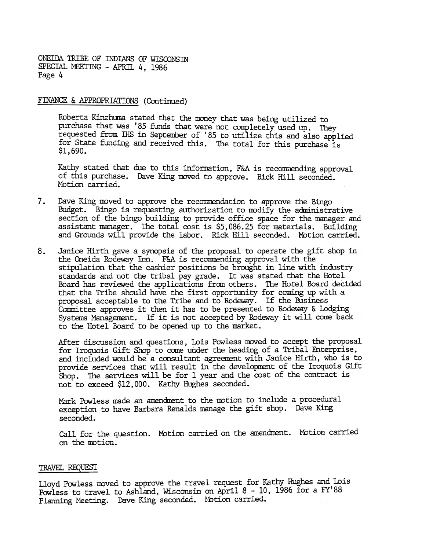FINANCE & APPROPRIATIONS (Continued)

Roberta Kinzhuma stated that the money that was being utilized to purchase that was '85 funds that were not completely used up. They requested from IHS in September of '85 to utilize this and also applied for State funding and received this. The total for this purchase is \$1,690.

Kathy stated that due to this information, F&A is recommending approval of this purchase. Dave King moved to approve. Rick Hill seconded. Motion carried.

- 7. Dave King moved to approve the recommendation to approve the Bingo Budget. Bingo is requesting authorization to mdify the administrative section of the bingo building to provide office space for the mnager and assistant manager. The total cost is \$5, 086.25 for materials. Building and Grounds will provide the labor. Rick Hill seconded. Motion carried.
- 8. Janice Hirth gave a synopsis of the proposal to operate the gift shop in the Oneida Rodeway Inn. F&A is recommending approval with the stipulation that the cashier positions be brought in line with industry standards and not the tribal pay grade. It was stated that the Hotel Board has reviewed the applications from others. The Hotel Board decided that the Tribe should have the first opportunity for coming up with a proposal acceptable to the Tribe and to Rodeway. If the Business Committee approves it then it has to be presented to Rodeway & Lodging Systems Management. If it is not accepted by Rodeway it will come back to the Hotel Board to be opened up to the market.

After discussion and questions, Lois Powless moved to accept the proposal for Iroquois Gift Shop to come wder the heading of a Tribal Enterprise, and included would be a consultant agreement with Janice Hirth, who is to provide services that will result in the development of the Iroquois Gift Shop. The services will be for 1 year and the cost of the contract is not to exceed \$12,000. Kathy Hughes seconded.

Mark Powless made an amendment to the motion to include a procedural exception to have Barbara Renalds manage the gift shop. Dave King seconded.

Call for the question. Motion carried on the amendment. Motion carrie on the motion.

#### TRAVEL REQUEST

Lloyd Powless moved to approve the travel request for Kathy Hughes and Lois Powless to travel to Ashland, Wisconsin on April 8 -10, 1986 for a FY'88 Planning Meeting. Dave King seconded. Motion carried.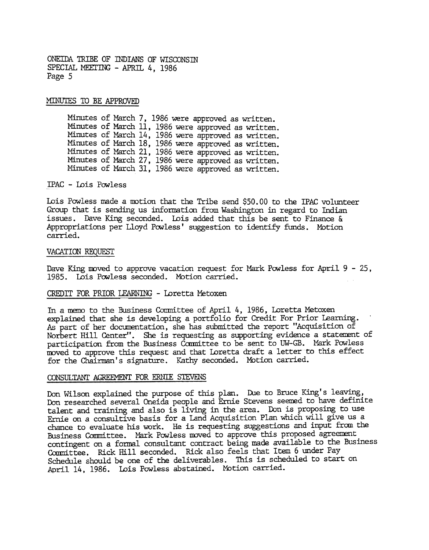MINUTES TO BE APPROVED

Minutes of March 7, 1986 were approved as written. Minutes of March 11, 1986 were approved as written. Minutes of Mardh 14, 1986 were approved as written. Minutes of March 18, 1986 were approved as writte Minutes of March 21, 1986 were approved as written. Minutes of March 27, 1986 were approved as written. Minutes of March 31, 1986 were approved as written.

IPAC - Lois Powless

Lois Powless made a motion that the Tribe send \$50.00 to the IPAC volunteer Group that is sending us information from Washington in regard to Indian issues. Dave King seconded. Lois added that this be sent to Finance & Appropriations per Lloyd Powless' suggestion to identify funds. Motion carried.

#### VACATION REQUEST

Dave King moved to approve vacation request for Mark Powless for April  $9 - 25$ , 1985. Lois Powless seconded. Motion carried.

#### CREDIT FOR PRIOR LEARNING - Loretta Metoxen

In a memo to the Business Committee of April 4, 1986, Loretta Metoxen explained that she is developing a portfolio for credit For Prior Learning. As part of her documentation, she has submitted the report "Acquisition of Norbert Hill Center". She is requesting as supporting evidence a statement of participation from the Business Committee to be sent to UW-GB. Mark Powless moved to approve this request and that Loretta draft a letter to this effect for the Chairman's signature. Kathy seconded. Motion carried.

#### CONSULTANT AGREEMENT FOR ERNIE STEVENS

Don Wilson explained the purpose of this plan. Due to Bruce King's leaving, Don researched several Oneida people and Ernie Stevens seemed to have definite talent and training and also is living in the area. Don is proposing to use Ernie on a consultive basis for a Land Acquisition Plan which will give us a chance to evaluate his work. He is requesting suggestions and input from the Business Committee. Mark Powless moved to approve this proposed agreement contingent on a formal consultant contract being made available to the Business Committee. Rick Hill seconded. Rick also feels that Item 6 under Pay Schedule should be one of the deliverables. This is scheduled to start on April 14, 1986. Lois Powless abstained. Mbtion carried.